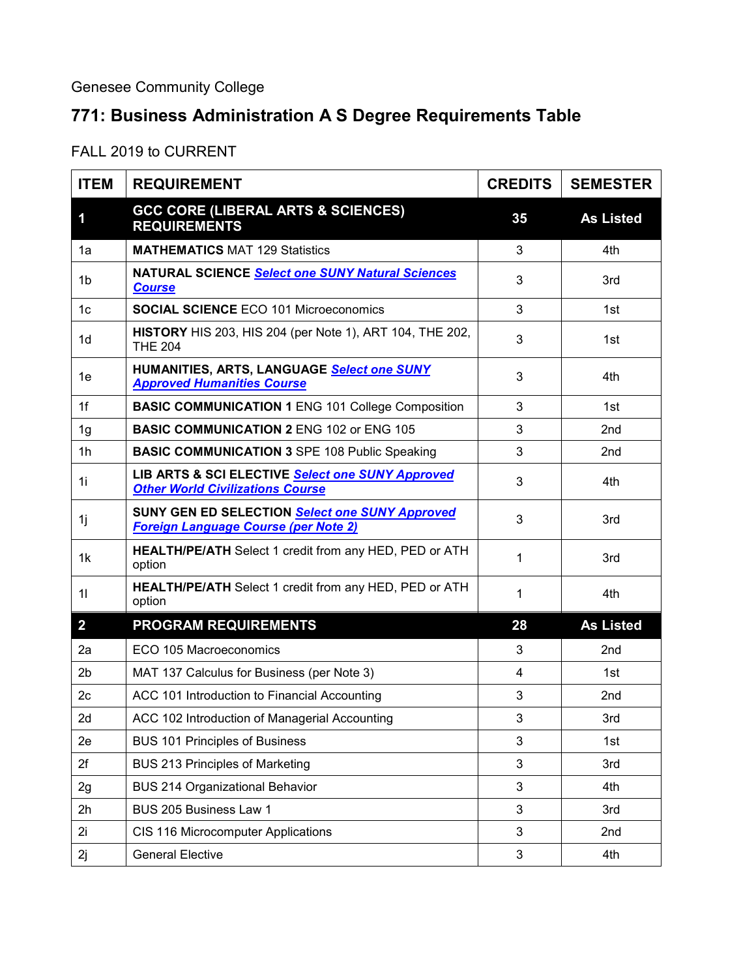Genesee Community College

## **771: Business Administration A S Degree Requirements Table**

## FALL 2019 to CURRENT

| <b>ITEM</b>    | <b>REQUIREMENT</b>                                                                            | <b>CREDITS</b> | <b>SEMESTER</b>  |
|----------------|-----------------------------------------------------------------------------------------------|----------------|------------------|
| 1              | <b>GCC CORE (LIBERAL ARTS &amp; SCIENCES)</b><br><b>REQUIREMENTS</b>                          | 35             | <b>As Listed</b> |
| 1a             | <b>MATHEMATICS MAT 129 Statistics</b>                                                         | 3              | 4th              |
| 1 <sub>b</sub> | <b>NATURAL SCIENCE Select one SUNY Natural Sciences</b><br><b>Course</b>                      | 3              | 3rd              |
| 1 <sub>c</sub> | <b>SOCIAL SCIENCE ECO 101 Microeconomics</b>                                                  | 3              | 1st              |
| 1 <sub>d</sub> | <b>HISTORY</b> HIS 203, HIS 204 (per Note 1), ART 104, THE 202,<br><b>THE 204</b>             | 3              | 1st              |
| 1е             | HUMANITIES, ARTS, LANGUAGE Select one SUNY<br><b>Approved Humanities Course</b>               | 3              | 4th              |
| 1f             | <b>BASIC COMMUNICATION 1 ENG 101 College Composition</b>                                      | 3              | 1st              |
| 1 <sub>g</sub> | <b>BASIC COMMUNICATION 2 ENG 102 or ENG 105</b>                                               | 3              | 2nd              |
| 1 <sub>h</sub> | <b>BASIC COMMUNICATION 3 SPE 108 Public Speaking</b>                                          | 3              | 2nd              |
| 1i             | LIB ARTS & SCI ELECTIVE Select one SUNY Approved<br><b>Other World Civilizations Course</b>   | 3              | 4th              |
| 1j             | SUNY GEN ED SELECTION Select one SUNY Approved<br><b>Foreign Language Course (per Note 2)</b> | 3              | 3rd              |
| 1k             | <b>HEALTH/PE/ATH</b> Select 1 credit from any HED, PED or ATH<br>option                       | 1              | 3rd              |
| 11             | <b>HEALTH/PE/ATH</b> Select 1 credit from any HED, PED or ATH<br>option                       | 1              | 4th              |
| $\overline{2}$ | <b>PROGRAM REQUIREMENTS</b>                                                                   | 28             | <b>As Listed</b> |
| 2a             | ECO 105 Macroeconomics                                                                        | 3              | 2 <sub>nd</sub>  |
| 2b             | MAT 137 Calculus for Business (per Note 3)                                                    | $\overline{4}$ | 1st              |
| 2 <sub>c</sub> | ACC 101 Introduction to Financial Accounting                                                  | 3              | 2nd              |
| 2d             | ACC 102 Introduction of Managerial Accounting                                                 | 3              | 3rd              |
| 2e             | <b>BUS 101 Principles of Business</b>                                                         | 3              | 1st              |
| 2f             | <b>BUS 213 Principles of Marketing</b>                                                        | 3              | 3rd              |
| 2g             | <b>BUS 214 Organizational Behavior</b>                                                        | 3              | 4th              |
| 2h             | BUS 205 Business Law 1                                                                        | 3              | 3rd              |
| 2i             | CIS 116 Microcomputer Applications                                                            | 3              | 2nd              |
| 2j             | <b>General Elective</b>                                                                       | $\mathfrak{S}$ | 4th              |